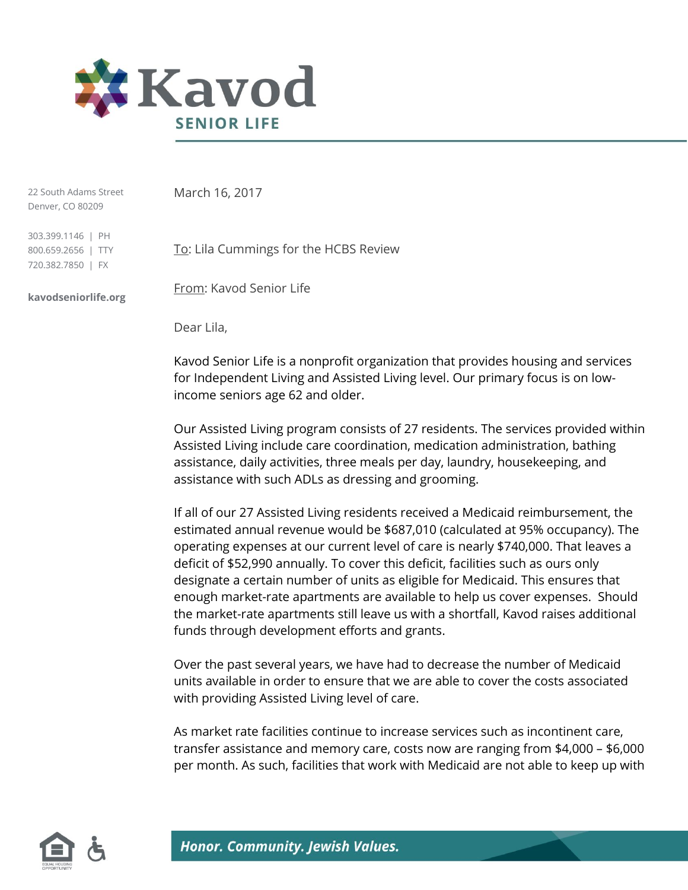

22 South Adams Street Denver, CO 80209

March 16, 2017

303.399.1146 | PH 800.659.2656 | TTY 720.382.7850 | FX

**kavodseniorlife.org**

To: Lila Cummings for the HCBS Review

From: Kavod Senior Life

Dear Lila,

Kavod Senior Life is a nonprofit organization that provides housing and services for Independent Living and Assisted Living level. Our primary focus is on lowincome seniors age 62 and older.

Our Assisted Living program consists of 27 residents. The services provided within Assisted Living include care coordination, medication administration, bathing assistance, daily activities, three meals per day, laundry, housekeeping, and assistance with such ADLs as dressing and grooming.

If all of our 27 Assisted Living residents received a Medicaid reimbursement, the estimated annual revenue would be \$687,010 (calculated at 95% occupancy). The operating expenses at our current level of care is nearly \$740,000. That leaves a deficit of \$52,990 annually. To cover this deficit, facilities such as ours only designate a certain number of units as eligible for Medicaid. This ensures that enough market-rate apartments are available to help us cover expenses. Should the market-rate apartments still leave us with a shortfall, Kavod raises additional funds through development efforts and grants.

Over the past several years, we have had to decrease the number of Medicaid units available in order to ensure that we are able to cover the costs associated with providing Assisted Living level of care.

As market rate facilities continue to increase services such as incontinent care, transfer assistance and memory care, costs now are ranging from \$4,000 – \$6,000 per month. As such, facilities that work with Medicaid are not able to keep up with